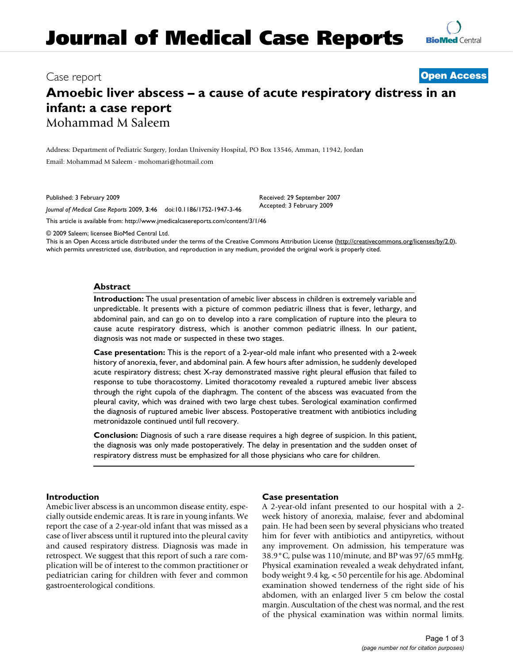# Case report **[Open Access](http://www.biomedcentral.com/info/about/charter/)**

# **Amoebic liver abscess – a cause of acute respiratory distress in an infant: a case report** Mohammad M Saleem

Address: Department of Pediatric Surgery, Jordan University Hospital, PO Box 13546, Amman, 11942, Jordan Email: Mohammad M Saleem - mohomari@hotmail.com

Published: 3 February 2009

*Journal of Medical Case Reports* 2009, **3**:46 doi:10.1186/1752-1947-3-46

[This article is available from: http://www.jmedicalcasereports.com/content/3/1/46](http://www.jmedicalcasereports.com/content/3/1/46)

© 2009 Saleem; licensee BioMed Central Ltd.

This is an Open Access article distributed under the terms of the Creative Commons Attribution License [\(http://creativecommons.org/licenses/by/2.0\)](http://creativecommons.org/licenses/by/2.0), which permits unrestricted use, distribution, and reproduction in any medium, provided the original work is properly cited.

Received: 29 September 2007 Accepted: 3 February 2009

### **Abstract**

**Introduction:** The usual presentation of amebic liver abscess in children is extremely variable and unpredictable. It presents with a picture of common pediatric illness that is fever, lethargy, and abdominal pain, and can go on to develop into a rare complication of rupture into the pleura to cause acute respiratory distress, which is another common pediatric illness. In our patient, diagnosis was not made or suspected in these two stages.

**Case presentation:** This is the report of a 2-year-old male infant who presented with a 2-week history of anorexia, fever, and abdominal pain. A few hours after admission, he suddenly developed acute respiratory distress; chest X-ray demonstrated massive right pleural effusion that failed to response to tube thoracostomy. Limited thoracotomy revealed a ruptured amebic liver abscess through the right cupola of the diaphragm. The content of the abscess was evacuated from the pleural cavity, which was drained with two large chest tubes. Serological examination confirmed the diagnosis of ruptured amebic liver abscess. Postoperative treatment with antibiotics including metronidazole continued until full recovery.

**Conclusion:** Diagnosis of such a rare disease requires a high degree of suspicion. In this patient, the diagnosis was only made postoperatively. The delay in presentation and the sudden onset of respiratory distress must be emphasized for all those physicians who care for children.

### **Introduction**

Amebic liver abscess is an uncommon disease entity, especially outside endemic areas. It is rare in young infants. We report the case of a 2-year-old infant that was missed as a case of liver abscess until it ruptured into the pleural cavity and caused respiratory distress. Diagnosis was made in retrospect. We suggest that this report of such a rare complication will be of interest to the common practitioner or pediatrician caring for children with fever and common gastroenterological conditions.

# **Case presentation**

A 2-year-old infant presented to our hospital with a 2 week history of anorexia, malaise, fever and abdominal pain. He had been seen by several physicians who treated him for fever with antibiotics and antipyretics, without any improvement. On admission, his temperature was 38.9°C, pulse was 110/minute, and BP was 97/65 mmHg. Physical examination revealed a weak dehydrated infant, body weight 9.4 kg, < 50 percentile for his age. Abdominal examination showed tenderness of the right side of his abdomen, with an enlarged liver 5 cm below the costal margin. Auscultation of the chest was normal, and the rest of the physical examination was within normal limits.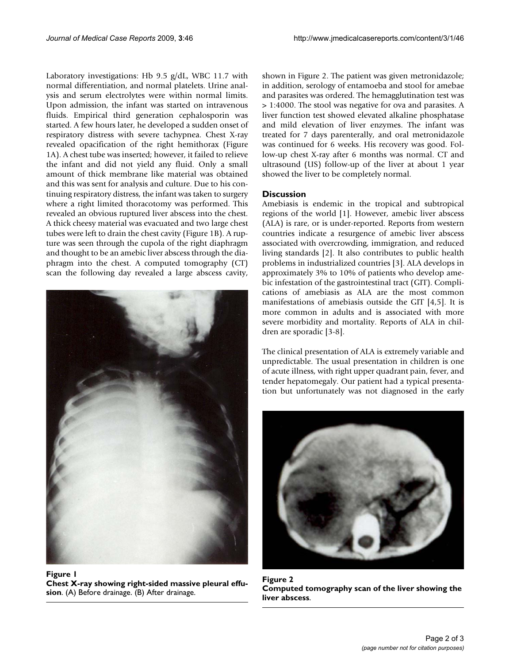Laboratory investigations: Hb 9.5 g/dL, WBC 11.7 with normal differentiation, and normal platelets. Urine analysis and serum electrolytes were within normal limits. Upon admission, the infant was started on intravenous fluids. Empirical third generation cephalosporin was started. A few hours later, he developed a sudden onset of respiratory distress with severe tachypnea. Chest X-ray revealed opacification of the right hemithorax (Figure 1A). A chest tube was inserted; however, it failed to relieve the infant and did not yield any fluid. Only a small amount of thick membrane like material was obtained and this was sent for analysis and culture. Due to his continuing respiratory distress, the infant was taken to surgery where a right limited thoracotomy was performed. This revealed an obvious ruptured liver abscess into the chest. A thick cheesy material was evacuated and two large chest tubes were left to drain the chest cavity (Figure 1B). A rupture was seen through the cupola of the right diaphragm and thought to be an amebic liver abscess through the diaphragm into the chest. A computed tomography (CT) scan the following day revealed a large abscess cavity,



Figure 1 **Chest X-ray showing right-sided massive pleural effusion**. (A) Before drainage. (B) After drainage.

shown in Figure 2. The patient was given metronidazole; in addition, serology of entamoeba and stool for amebae and parasites was ordered. The hemagglutination test was > 1:4000. The stool was negative for ova and parasites. A liver function test showed elevated alkaline phosphatase and mild elevation of liver enzymes. The infant was treated for 7 days parenterally, and oral metronidazole was continued for 6 weeks. His recovery was good. Follow-up chest X-ray after 6 months was normal. CT and ultrasound (US) follow-up of the liver at about 1 year showed the liver to be completely normal.

# **Discussion**

Amebiasis is endemic in the tropical and subtropical regions of the world [1]. However, amebic liver abscess (ALA) is rare, or is under-reported. Reports from western countries indicate a resurgence of amebic liver abscess associated with overcrowding, immigration, and reduced living standards [2]. It also contributes to public health problems in industrialized countries [3]. ALA develops in approximately 3% to 10% of patients who develop amebic infestation of the gastrointestinal tract (GIT). Complications of amebiasis as ALA are the most common manifestations of amebiasis outside the GIT [4,5]. It is more common in adults and is associated with more severe morbidity and mortality. Reports of ALA in children are sporadic [3-8].

The clinical presentation of ALA is extremely variable and unpredictable. The usual presentation in children is one of acute illness, with right upper quadrant pain, fever, and tender hepatomegaly. Our patient had a typical presentation but unfortunately was not diagnosed in the early



Figure 2 **Computed tomography scan of the liver showing the liver abscess**.